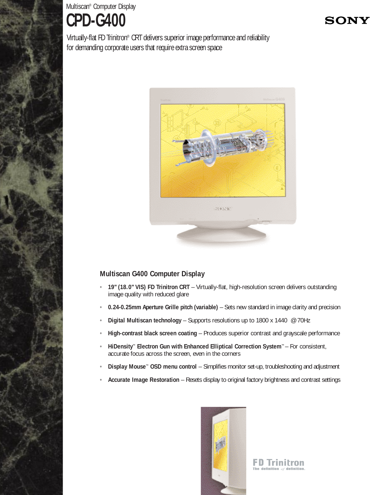Multiscan® Computer Display **CPD-G400**

Virtually-flat FD Trinitron® CRT delivers superior image performance and reliability for demanding corporate users that require extra screen space



## **Multiscan G400 Computer Display**

- **• 19" (18.0" VIS) FD Trinitron CRT**  Virtually-flat, high-resolution screen delivers outstanding image quality with reduced glare
- **• 0.24-0.25mm Aperture Grille pitch (variable)**  Sets new standard in image clarity and precision
- **• Digital Multiscan technology**  Supports resolutions up to 1800 x 1440 @ 70Hz
- **• High-contrast black screen coating**  Produces superior contrast and grayscale performance
- **• HiDensity™ Electron Gun with Enhanced Elliptical Correction System™**  For consistent, accurate focus across the screen, even in the corners
- **• Display Mouse™ OSD menu control**  Simplifies monitor set-up, troubleshooting and adjustment
- **• Accurate Image Restoration**  Resets display to original factory brightness and contrast settings



**FD Trinitron** The definition  $of$  defini

# **SON)**